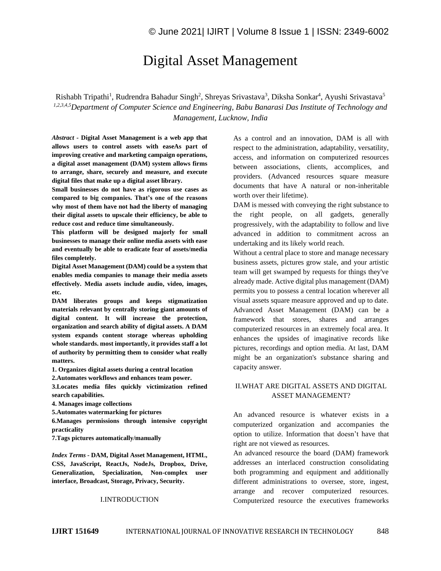# Digital Asset Management

Rishabh Tripathi<sup>1</sup>, Rudrendra Bahadur Singh<sup>2</sup>, Shreyas Srivastava<sup>3</sup>, Diksha Sonkar<sup>4</sup>, Ayushi Srivastava<sup>5</sup> *1,2,3,4,5Department of Computer Science and Engineering, Babu Banarasi Das Institute of Technology and Management, Lucknow, India*

*Abstract -* **Digital Asset Management is a web app that allows users to control assets with easeAs part of improving creative and marketing campaign operations, a digital asset management (DAM) system allows firms to arrange, share, securely and measure, and execute digital files that make up a digital asset library.**

**Small businesses do not have as rigorous use cases as compared to big companies. That's one of the reasons why most of them have not had the liberty of managing their digital assets to upscale their efficiency, be able to reduce cost and reduce time simultaneously.**

**This platform will be designed majorly for small businesses to manage their online media assets with ease and eventually be able to eradicate fear of assets/media files completely.**

**Digital Asset Management (DAM) could be a system that enables media companies to manage their media assets effectively. Media assets include audio, video, images, etc.** 

**DAM liberates groups and keeps stigmatization materials relevant by centrally storing giant amounts of digital content. It will increase the protection, organization and search ability of digital assets. A DAM system expands content storage whereas upholding whole standards. most importantly, it provides staff a lot of authority by permitting them to consider what really matters.**

**1. Organizes digital assets during a central location**

**2.Automates workflows and enhances team power.**

**3.Locates media files quickly victimization refined search capabilities.**

**4. Manages image collections**

**5.Automates watermarking for pictures**

**6.Manages permissions through intensive copyright practicality**

**7.Tags pictures automatically/manually**

*Index Terms -* **DAM, Digital Asset Management, HTML, CSS, JavaScript, ReactJs, NodeJs, Dropbox, Drive, Generalization, Specialization, Non-complex user interface, Broadcast, Storage, Privacy, Security.**

#### I.INTRODUCTION

As a control and an innovation, DAM is all with respect to the administration, adaptability, versatility, access, and information on computerized resources between associations, clients, accomplices, and providers. (Advanced resources square measure documents that have A natural or non-inheritable worth over their lifetime).

DAM is messed with conveying the right substance to the right people, on all gadgets, generally progressively, with the adaptability to follow and live advanced in addition to commitment across an undertaking and its likely world reach.

Without a central place to store and manage necessary business assets, pictures grow stale, and your artistic team will get swamped by requests for things they've already made. Active digital plus management (DAM) permits you to possess a central location wherever all visual assets square measure approved and up to date. Advanced Asset Management (DAM) can be a framework that stores, shares and arranges computerized resources in an extremely focal area. It enhances the upsides of imaginative records like pictures, recordings and option media. At last, DAM might be an organization's substance sharing and capacity answer.

### II.WHAT ARE DIGITAL ASSETS AND DIGITAL ASSET MANAGEMENT?

An advanced resource is whatever exists in a computerized organization and accompanies the option to utilize. Information that doesn't have that right are not viewed as resources.

An advanced resource the board (DAM) framework addresses an interlaced construction consolidating both programming and equipment and additionally different administrations to oversee, store, ingest, arrange and recover computerized resources. Computerized resource the executives frameworks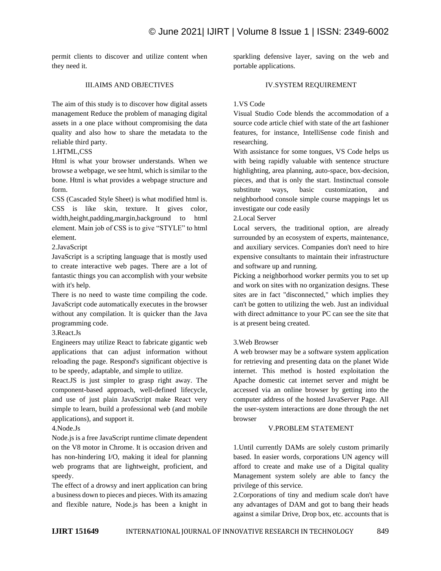permit clients to discover and utilize content when they need it.

## III.AIMS AND OBJECTIVES

The aim of this study is to discover how digital assets management Reduce the problem of managing digital assets in a one place without compromising the data quality and also how to share the metadata to the reliable third party.

#### 1.HTML,CSS

Html is what your browser understands. When we browse a webpage, we see html, which is similar to the bone. Html is what provides a webpage structure and form.

CSS (Cascaded Style Sheet) is what modified html is. CSS is like skin, texture. It gives color, width,height,padding,margin,background to html element. Main job of CSS is to give "STYLE" to html element.

2.JavaScript

JavaScript is a scripting language that is mostly used to create interactive web pages. There are a lot of fantastic things you can accomplish with your website with it's help.

There is no need to waste time compiling the code. JavaScript code automatically executes in the browser without any compilation. It is quicker than the Java programming code.

## 3.React.Js

Engineers may utilize React to fabricate gigantic web applications that can adjust information without reloading the page. Respond's significant objective is to be speedy, adaptable, and simple to utilize.

React.JS is just simpler to grasp right away. The component-based approach, well-defined lifecycle, and use of just plain JavaScript make React very simple to learn, build a professional web (and mobile applications), and support it.

## 4.Node.Js

Node.js is a free JavaScript runtime climate dependent on the V8 motor in Chrome. It is occasion driven and has non-hindering I/O, making it ideal for planning web programs that are lightweight, proficient, and speedy.

The effect of a drowsy and inert application can bring a business down to pieces and pieces. With its amazing and flexible nature, Node.js has been a knight in sparkling defensive layer, saving on the web and portable applications.

### IV.SYSTEM REQUIREMENT

#### 1.VS Code

Visual Studio Code blends the accommodation of a source code article chief with state of the art fashioner features, for instance, IntelliSense code finish and researching.

With assistance for some tongues, VS Code helps us with being rapidly valuable with sentence structure highlighting, area planning, auto-space, box-decision, pieces, and that is only the start. Instinctual console substitute ways, basic customization, and neighborhood console simple course mappings let us investigate our code easily

#### 2.Local Server

Local servers, the traditional option, are already surrounded by an ecosystem of experts, maintenance, and auxiliary services. Companies don't need to hire expensive consultants to maintain their infrastructure and software up and running.

Picking a neighborhood worker permits you to set up and work on sites with no organization designs. These sites are in fact "disconnected," which implies they can't be gotten to utilizing the web. Just an individual with direct admittance to your PC can see the site that is at present being created.

## 3.Web Browser

A web browser may be a software system application for retrieving and presenting data on the planet Wide internet. This method is hosted exploitation the Apache domestic cat internet server and might be accessed via an online browser by getting into the computer address of the hosted JavaServer Page. All the user-system interactions are done through the net browser

### V.PROBLEM STATEMENT

1.Until currently DAMs are solely custom primarily based. In easier words, corporations UN agency will afford to create and make use of a Digital quality Management system solely are able to fancy the privilege of this service.

2.Corporations of tiny and medium scale don't have any advantages of DAM and got to bang their heads against a similar Drive, Drop box, etc. accounts that is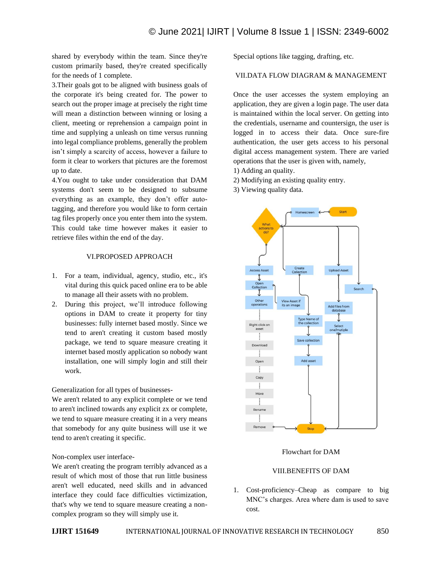shared by everybody within the team. Since they're custom primarily based, they're created specifically for the needs of 1 complete.

3.Their goals got to be aligned with business goals of the corporate it's being created for. The power to search out the proper image at precisely the right time will mean a distinction between winning or losing a client, meeting or reprehension a campaign point in time and supplying a unleash on time versus running into legal compliance problems, generally the problem isn't simply a scarcity of access, however a failure to form it clear to workers that pictures are the foremost up to date.

4.You ought to take under consideration that DAM systems don't seem to be designed to subsume everything as an example, they don't offer autotagging, and therefore you would like to form certain tag files properly once you enter them into the system. This could take time however makes it easier to retrieve files within the end of the day.

#### VI.PROPOSED APPROACH

- 1. For a team, individual, agency, studio, etc., it's vital during this quick paced online era to be able to manage all their assets with no problem.
- 2. During this project, we'll introduce following options in DAM to create it property for tiny businesses: fully internet based mostly. Since we tend to aren't creating it custom based mostly package, we tend to square measure creating it internet based mostly application so nobody want installation, one will simply login and still their work.

Generalization for all types of businesses-

We aren't related to any explicit complete or we tend to aren't inclined towards any explicit zx or complete, we tend to square measure creating it in a very means that somebody for any quite business will use it we tend to aren't creating it specific.

## Non-complex user interface-

We aren't creating the program terribly advanced as a result of which most of those that run little business aren't well educated, need skills and in advanced interface they could face difficulties victimization, that's why we tend to square measure creating a noncomplex program so they will simply use it.

Special options like tagging, drafting, etc.

# VII.DATA FLOW DIAGRAM & MANAGEMENT

Once the user accesses the system employing an application, they are given a login page. The user data is maintained within the local server. On getting into the credentials, username and countersign, the user is logged in to access their data. Once sure-fire authentication, the user gets access to his personal digital access management system. There are varied operations that the user is given with, namely,

- 1) Adding an quality.
- 2) Modifying an existing quality entry.
- 3) Viewing quality data.



#### Flowchart for DAM

#### VIII.BENEFITS OF DAM

1. Cost-proficiency–Cheap as compare to big MNC's charges. Area where dam is used to save cost.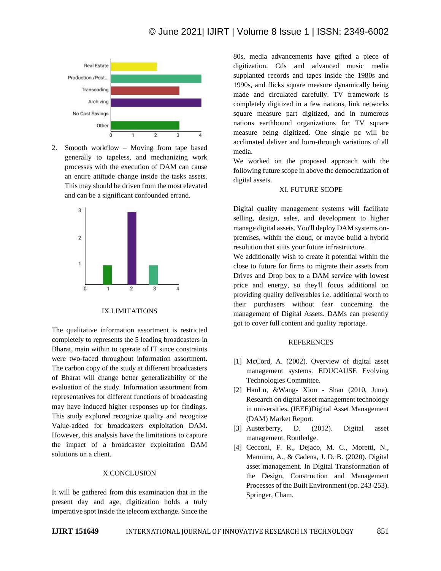

2. Smooth workflow – Moving from tape based generally to tapeless, and mechanizing work processes with the execution of DAM can cause an entire attitude change inside the tasks assets. This may should be driven from the most elevated and can be a significant confounded errand.



# IX.LIMITATIONS

The qualitative information assortment is restricted completely to represents the 5 leading broadcasters in Bharat, main within to operate of IT since constraints were two-faced throughout information assortment. The carbon copy of the study at different broadcasters of Bharat will change better generalizability of the evaluation of the study. Information assortment from representatives for different functions of broadcasting may have induced higher responses up for findings. This study explored recognize quality and recognize Value-added for broadcasters exploitation DAM. However, this analysis have the limitations to capture the impact of a broadcaster exploitation DAM solutions on a client.

#### X.CONCLUSION

It will be gathered from this examination that in the present day and age, digitization holds a truly imperative spot inside the telecom exchange. Since the 80s, media advancements have gifted a piece of digitization. Cds and advanced music media supplanted records and tapes inside the 1980s and 1990s, and flicks square measure dynamically being made and circulated carefully. TV framework is completely digitized in a few nations, link networks square measure part digitized, and in numerous nations earthbound organizations for TV square measure being digitized. One single pc will be acclimated deliver and burn-through variations of all media.

We worked on the proposed approach with the following future scope in above the democratization of digital assets.

#### XI. FUTURE SCOPE

Digital quality management systems will facilitate selling, design, sales, and development to higher manage digital assets. You'll deploy DAM systems onpremises, within the cloud, or maybe build a hybrid resolution that suits your future infrastructure.

We additionally wish to create it potential within the close to future for firms to migrate their assets from Drives and Drop box to a DAM service with lowest price and energy, so they'll focus additional on providing quality deliverables i.e. additional worth to their purchasers without fear concerning the management of Digital Assets. DAMs can presently got to cover full content and quality reportage.

#### REFERENCES

- [1] McCord, A. (2002). Overview of digital asset management systems. EDUCAUSE Evolving Technologies Committee.
- [2] HanLu, &Wang- Xion Shan (2010, June). Research on digital asset management technology in universities. (IEEE)Digital Asset Management (DAM) Market Report.
- [3] Austerberry, D. (2012). Digital asset management. Routledge.
- [4] Cecconi, F. R., Dejaco, M. C., Moretti, N., Mannino, A., & Cadena, J. D. B. (2020). Digital asset management. In Digital Transformation of the Design, Construction and Management Processes of the Built Environment (pp. 243-253). Springer, Cham.